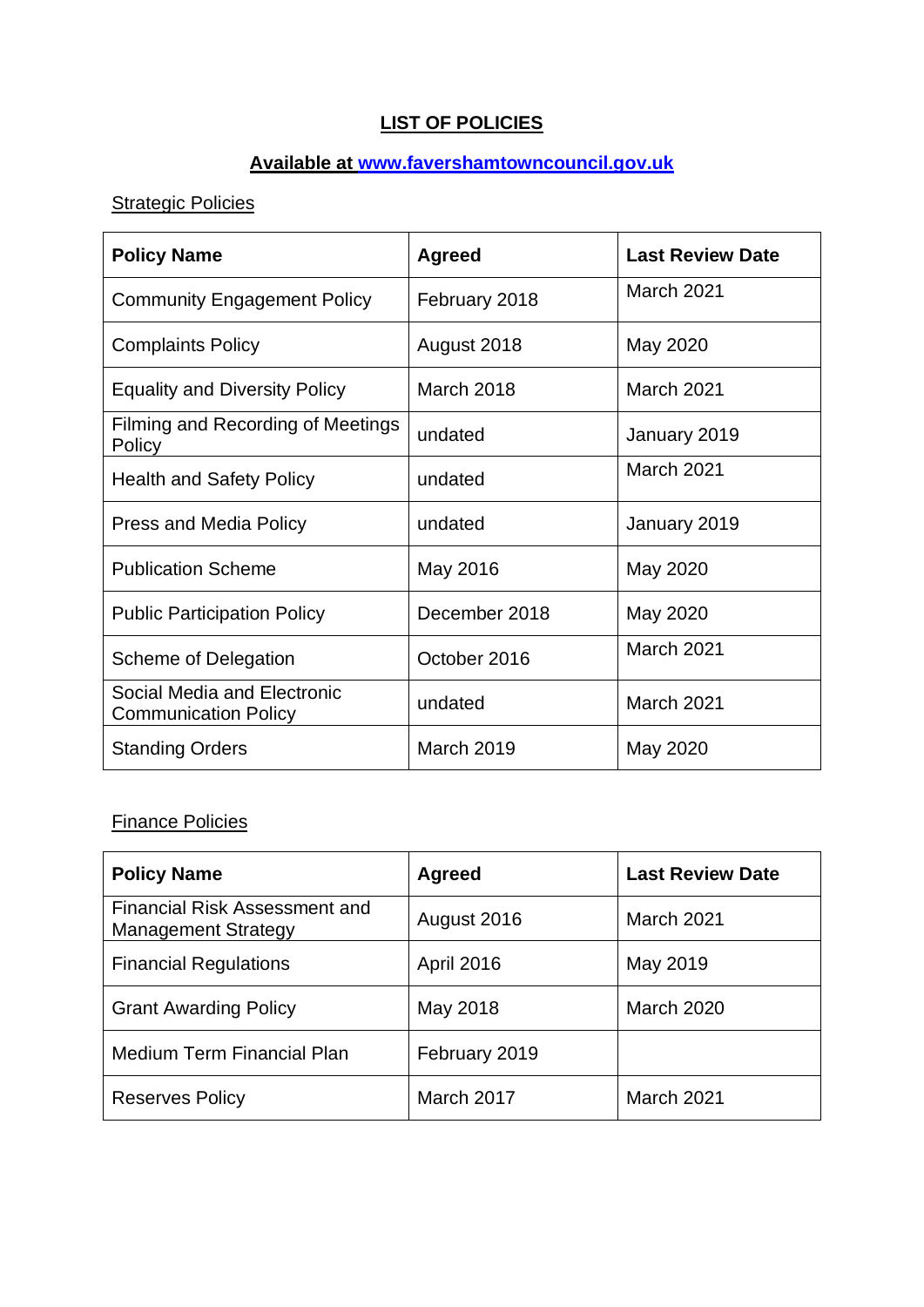# **LIST OF POLICIES**

### **Available at [www.favershamtowncouncil.gov.uk](http://www.favershamtowncouncil.gov.uk/)**

# **Strategic Policies**

| <b>Policy Name</b>                                         | <b>Agreed</b>     | <b>Last Review Date</b> |
|------------------------------------------------------------|-------------------|-------------------------|
| <b>Community Engagement Policy</b>                         | February 2018     | <b>March 2021</b>       |
| <b>Complaints Policy</b>                                   | August 2018       | May 2020                |
| <b>Equality and Diversity Policy</b>                       | March 2018        | March 2021              |
| Filming and Recording of Meetings<br>Policy                | undated           | January 2019            |
| <b>Health and Safety Policy</b>                            | undated           | March 2021              |
| <b>Press and Media Policy</b>                              | undated           | January 2019            |
| <b>Publication Scheme</b>                                  | May 2016          | May 2020                |
| <b>Public Participation Policy</b>                         | December 2018     | May 2020                |
| Scheme of Delegation                                       | October 2016      | March 2021              |
| Social Media and Electronic<br><b>Communication Policy</b> | undated           | March 2021              |
| <b>Standing Orders</b>                                     | <b>March 2019</b> | May 2020                |

#### Finance Policies

| <b>Policy Name</b>                                                 | <b>Agreed</b>     | <b>Last Review Date</b> |
|--------------------------------------------------------------------|-------------------|-------------------------|
| <b>Financial Risk Assessment and</b><br><b>Management Strategy</b> | August 2016       | <b>March 2021</b>       |
| <b>Financial Regulations</b>                                       | <b>April 2016</b> | May 2019                |
| <b>Grant Awarding Policy</b>                                       | May 2018          | <b>March 2020</b>       |
| <b>Medium Term Financial Plan</b>                                  | February 2019     |                         |
| <b>Reserves Policy</b>                                             | March 2017        | <b>March 2021</b>       |